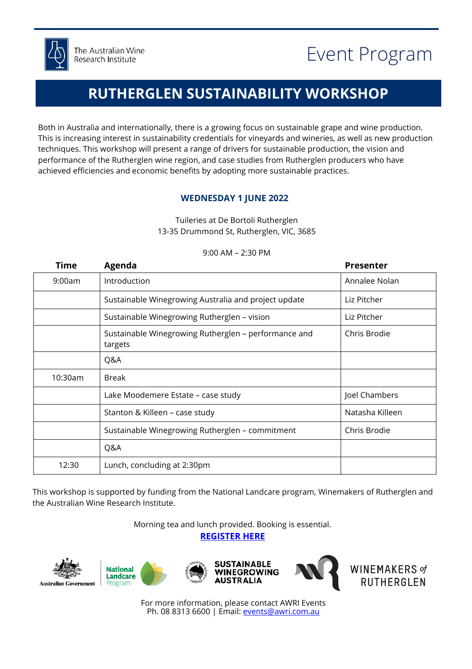

## **RUTHERGLEN SUSTAINABILITY WORKSHOP**

Both in Australia and internationally, there is a growing focus on sustainable grape and wine production. This is increasing interest in sustainability credentials for vineyards and wineries, as well as new production techniques. This workshop will present a range of drivers for sustainable production, the vision and performance of the Rutherglen wine region, and case studies from Rutherglen producers who have achieved efficiencies and economic benefits by adopting more sustainable practices.

### **WEDNESDAY 1 JUNE 2022**

Tuileries at De Bortoli Rutherglen 13-35 Drummond St, Rutherglen, VIC, 3685

| Time    | Agenda                                                          | <b>Presenter</b> |
|---------|-----------------------------------------------------------------|------------------|
| 9:00am  | Introduction                                                    | Annalee Nolan    |
|         | Sustainable Winegrowing Australia and project update            | Liz Pitcher      |
|         | Sustainable Winegrowing Rutherglen - vision                     | Liz Pitcher      |
|         | Sustainable Winegrowing Rutherglen - performance and<br>targets | Chris Brodie     |
|         | Q&A                                                             |                  |
| 10:30am | <b>Break</b>                                                    |                  |
|         | Lake Moodemere Estate - case study                              | Joel Chambers    |
|         | Stanton & Killeen - case study                                  | Natasha Killeen  |
|         | Sustainable Winegrowing Rutherglen - commitment                 | Chris Brodie     |
|         | Q&A                                                             |                  |
| 12:30   | Lunch, concluding at 2:30pm                                     |                  |

### 9:00 AM – 2:30 PM

This workshop is supported by funding from the National Landcare program, Winemakers of Rutherglen and the Australian Wine Research Institute.

Morning tea and lunch provided. Booking is essential.

**[REGISTER HERE](https://www.awri.com.au/industry_support/sustainable-winegrowing-australia/sustainability-workshop-rutherglen/)**











WINEMAKERS of<br>RUTHERGLEN

For more information, please contact AWRI Events Ph. 08 8313 6600 | Email: **events@awri.com.au**